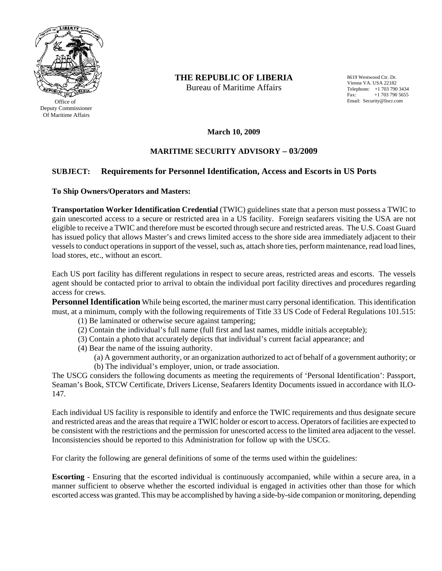

 Office of Deputy Commissioner Of Maritime Affairs

**THE REPUBLIC OF LIBERIA** 

Bureau of Maritime Affairs

8619 Westwood Ctr. Dr. Vienna VA. USA 22182 Telephone: +1 703 790 3434 Fax: +1 703 790 5655 Email: Security@liscr.com

**March 10, 2009** 

## **MARITIME SECURITY ADVISORY – 03/2009**

## **SUBJECT: Requirements for Personnel Identification, Access and Escorts in US Ports**

**To Ship Owners/Operators and Masters:** 

**Transportation Worker Identification Credential** (TWIC) guidelines state that a person must possess a TWIC to gain unescorted access to a secure or restricted area in a US facility. Foreign seafarers visiting the USA are not eligible to receive a TWIC and therefore must be escorted through secure and restricted areas. The U.S. Coast Guard has issued policy that allows Master's and crews limited access to the shore side area immediately adjacent to their vessels to conduct operations in support of the vessel, such as, attach shore ties, perform maintenance, read load lines, load stores, etc., without an escort.

Each US port facility has different regulations in respect to secure areas, restricted areas and escorts. The vessels agent should be contacted prior to arrival to obtain the individual port facility directives and procedures regarding access for crews.

**Personnel Identification** While being escorted, the mariner must carry personal identification. This identification must, at a minimum, comply with the following requirements of Title 33 US Code of Federal Regulations 101.515:

- (1) Be laminated or otherwise secure against tampering;
- (2) Contain the individual's full name (full first and last names, middle initials acceptable);
- (3) Contain a photo that accurately depicts that individual's current facial appearance; and
- (4) Bear the name of the issuing authority.
	- (a) A government authority, or an organization authorized to act of behalf of a government authority; or (b) The individual's employer, union, or trade association.

The USCG considers the following documents as meeting the requirements of 'Personal Identification': Passport, Seaman's Book, STCW Certificate, Drivers License, Seafarers Identity Documents issued in accordance with ILO-147.

Each individual US facility is responsible to identify and enforce the TWIC requirements and thus designate secure and restricted areas and the areas that require a TWIC holder or escort to access. Operators of facilities are expected to be consistent with the restrictions and the permission for unescorted access to the limited area adjacent to the vessel. Inconsistencies should be reported to this Administration for follow up with the USCG.

For clarity the following are general definitions of some of the terms used within the guidelines:

**Escorting** - Ensuring that the escorted individual is continuously accompanied, while within a secure area, in a manner sufficient to observe whether the escorted individual is engaged in activities other than those for which escorted access was granted. This may be accomplished by having a side-by-side companion or monitoring, depending